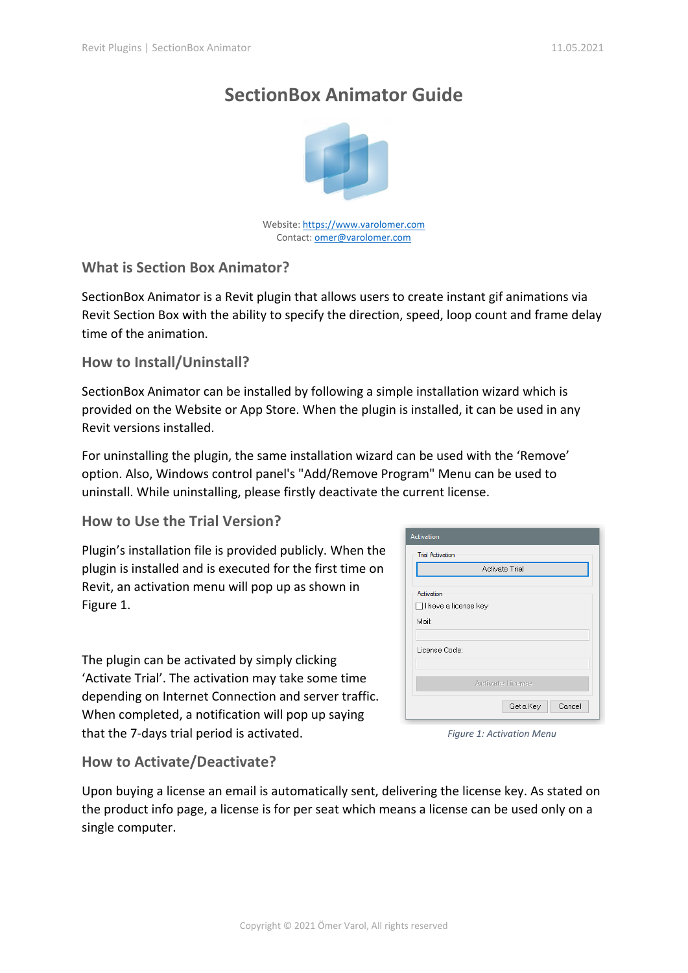# **SectionBox Animator Guide**



Website[: https://www.varolomer.com](https://www.varolomer.com/) Contact: **omer@varolomer.com** 

## **What is Section Box Animator?**

SectionBox Animator is a Revit plugin that allows users to create instant gif animations via Revit Section Box with the ability to specify the direction, speed, loop count and frame delay time of the animation.

### **How to Install/Uninstall?**

SectionBox Animator can be installed by following a simple installation wizard which is provided on the Website or App Store. When the plugin is installed, it can be used in any Revit versions installed.

For uninstalling the plugin, the same installation wizard can be used with the 'Remove' option. Also, Windows control panel's "Add/Remove Program" Menu can be used to uninstall. While uninstalling, please firstly deactivate the current license.

### **How to Use the Trial Version?**

Plugin's installation file is provided publicly. When the plugin is installed and is executed for the first time on Revit, an activation menu will pop up as shown in Figure 1.

The plugin can be activated by simply clicking 'Activate Trial'. The activation may take some time depending on Internet Connection and server traffic. When completed, a notification will pop up saying that the 7-days trial period is activated.

| Activation                           |
|--------------------------------------|
| <b>Trial Activation</b>              |
| Activate Trial                       |
| Activation<br>□ I have a license key |
| Mail:                                |
| License Code:                        |
| Activate License                     |
| Cancel<br>Get a Key                  |

*Figure 1: Activation Menu*

### **How to Activate/Deactivate?**

Upon buying a license an email is automatically sent, delivering the license key. As stated on the product info page, a license is for per seat which means a license can be used only on a single computer.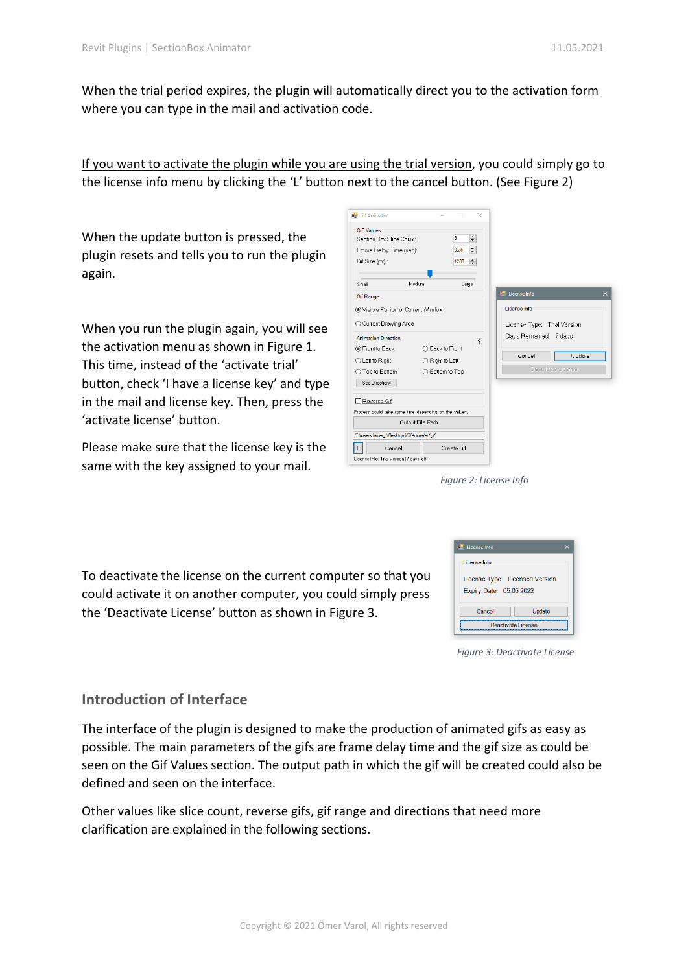When the trial period expires, the plugin will automatically direct you to the activation form where you can type in the mail and activation code.

If you want to activate the plugin while you are using the trial version, you could simply go to the license info menu by clicking the 'L' button next to the cancel button. (See Figure 2)

When the update button is pressed, the plugin resets and tells you to run the plugin again.

When you run the plugin again, you will see the activation menu as shown in Figure 1. This time, instead of the 'activate trial' button, check 'I have a license key' and type in the mail and license key. Then, press the 'activate license' button.

Please make sure that the license key is the same with the key assigned to your mail.

| Gif Animator                                          |                  | $\Box$          | ×              |                             |                    |
|-------------------------------------------------------|------------------|-----------------|----------------|-----------------------------|--------------------|
| <b>GIF Values</b>                                     |                  |                 |                |                             |                    |
| Section Box Slice Count                               |                  | 8               | $\div$         |                             |                    |
| Frame Delay Time (sec):                               |                  | 0.25            | 쉬              |                             |                    |
| Gif Size (px):                                        |                  | 1200            | ÷              |                             |                    |
| Small                                                 | Medium           | Large           |                |                             |                    |
| <b>Gif Range</b>                                      |                  |                 |                | <b>E.</b> License Info      |                    |
| (a) Visible Portion of Current Window                 |                  |                 |                | License Info                |                    |
| ◯ Current Drawing Area                                |                  |                 |                | License Type: Trial Version |                    |
| <b>Animation Direction</b>                            |                  |                 | $\overline{2}$ | Days Remained: 7 days       |                    |
| ● Front to Back                                       |                  | ○ Back to Front |                |                             |                    |
| ◯ Left to Right                                       |                  | ◯ Right to Left |                | Cancel                      | Update             |
| ◯ Top to Bottom                                       | $\left($         | Bottom to Top   |                |                             | Deactivate License |
| See Directions                                        |                  |                 |                |                             |                    |
| Reverse Gif                                           |                  |                 |                |                             |                    |
| Process could take some time depending on the values. |                  |                 |                |                             |                    |
|                                                       | Output File Path |                 |                |                             |                    |
| C:\Users\omer_\Desktop\GifAnimated.gif                |                  |                 |                |                             |                    |
| Cancel                                                |                  | Create Gif      |                |                             |                    |
| License Info: Trial Version (7 days left)             |                  |                 |                |                             |                    |

*Figure 2: License Info*

To deactivate the license on the current computer so that you could activate it on another computer, you could simply press the 'Deactivate License' button as shown in Figure 3.

| <b>Ed</b> License Info                                    |                    |
|-----------------------------------------------------------|--------------------|
| License Info                                              |                    |
| License Type: Licensed Version<br>Expiry Date: 05.05.2022 |                    |
| Cancel                                                    | Update             |
|                                                           | Deactivate License |

*Figure 3: Deactivate License*

### **Introduction of Interface**

The interface of the plugin is designed to make the production of animated gifs as easy as possible. The main parameters of the gifs are frame delay time and the gif size as could be seen on the Gif Values section. The output path in which the gif will be created could also be defined and seen on the interface.

Other values like slice count, reverse gifs, gif range and directions that need more clarification are explained in the following sections.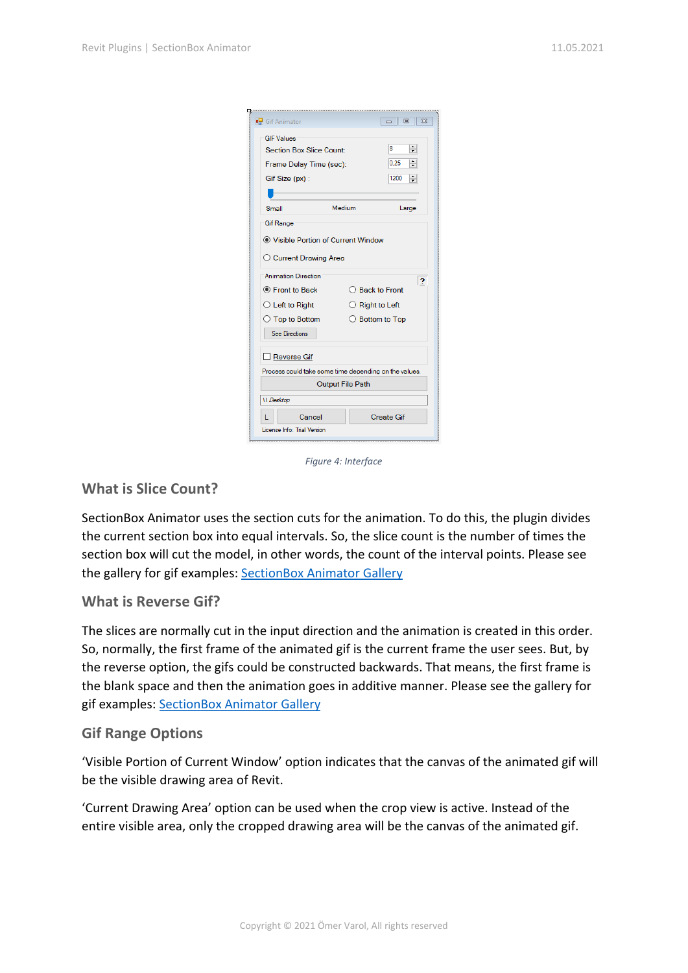| Gif Animator                                          |                          | 同<br>$\Sigma$<br>- 1     |
|-------------------------------------------------------|--------------------------|--------------------------|
| <b>GIF Values</b>                                     |                          |                          |
| Section Box Slice Count:                              |                          | $\div$<br>8              |
| Frame Delay Time (sec):                               | 0.25<br>÷                |                          |
| Gif Size (px):                                        | 1200<br>÷                |                          |
|                                                       |                          |                          |
| Small                                                 | Medium                   | Large                    |
| <b>Gif Range</b>                                      |                          |                          |
| ◉ Visible Portion of Current Window                   |                          |                          |
| ◯ Current Drawing Area                                |                          |                          |
| <b>Animation Direction</b>                            |                          | 2                        |
| ● Front to Back                                       |                          | $\bigcirc$ Back to Front |
| $\bigcirc$ Left to Right                              | $\bigcirc$ Right to Left |                          |
| $\bigcirc$ Top to Bottom                              |                          | ◯ Bottom to Top          |
| <b>See Directions</b>                                 |                          |                          |
| Reverse Gif                                           |                          |                          |
| Process could take some time depending on the values. |                          |                          |
|                                                       | <b>Output File Path</b>  |                          |
| <b>II</b> Desktop                                     |                          |                          |
|                                                       |                          |                          |
| Cancel                                                |                          | <b>Create Gif</b>        |

*Figure 4: Interface*

### **What is Slice Count?**

SectionBox Animator uses the section cuts for the animation. To do this, the plugin divides the current section box into equal intervals. So, the slice count is the number of times the section box will cut the model, in other words, the count of the interval points. Please see the gallery for gif examples: [SectionBox Animator Gallery](https://www.varolomer.com/sectionboxgallery)

#### **What is Reverse Gif?**

The slices are normally cut in the input direction and the animation is created in this order. So, normally, the first frame of the animated gif is the current frame the user sees. But, by the reverse option, the gifs could be constructed backwards. That means, the first frame is the blank space and then the animation goes in additive manner. Please see the gallery for gif examples: [SectionBox Animator Gallery](https://www.varolomer.com/sectionboxgallery)

#### **Gif Range Options**

'Visible Portion of Current Window' option indicates that the canvas of the animated gif will be the visible drawing area of Revit.

'Current Drawing Area' option can be used when the crop view is active. Instead of the entire visible area, only the cropped drawing area will be the canvas of the animated gif.